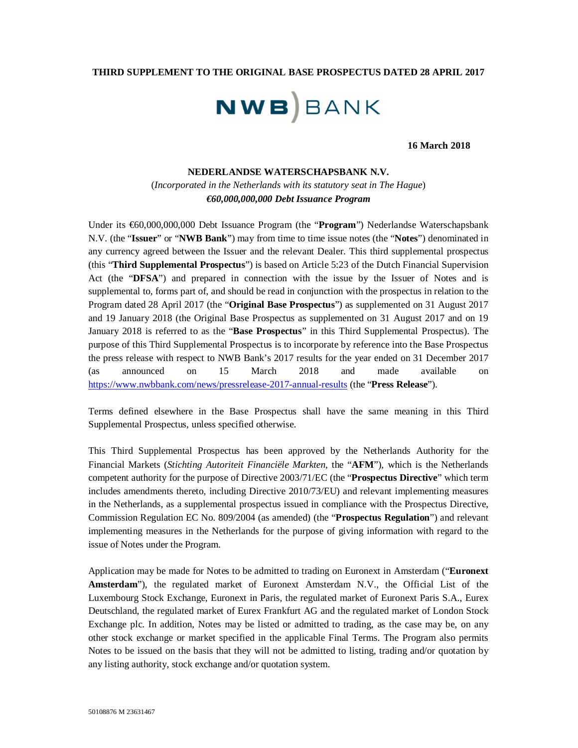### **THIRD SUPPLEMENT TO THE ORIGINAL BASE PROSPECTUS DATED 28 APRIL 2017**

# **NWB**BANK

## **16 March 2018**

#### **NEDERLANDSE WATERSCHAPSBANK N.V.**

(*Incorporated in the Netherlands with its statutory seat in The Hague*) *€60,000,000,000 Debt Issuance Program*

Under its €60,000,000,000 Debt Issuance Program (the "**Program**") Nederlandse Waterschapsbank N.V. (the "**Issuer**" or "**NWB Bank**") may from time to time issue notes (the "**Notes**") denominated in any currency agreed between the Issuer and the relevant Dealer. This third supplemental prospectus (this "**Third Supplemental Prospectus**") is based on Article 5:23 of the Dutch Financial Supervision Act (the "**DFSA**") and prepared in connection with the issue by the Issuer of Notes and is supplemental to, forms part of, and should be read in conjunction with the prospectus in relation to the Program dated 28 April 2017 (the "**Original Base Prospectus**") as supplemented on 31 August 2017 and 19 January 2018 (the Original Base Prospectus as supplemented on 31 August 2017 and on 19 January 2018 is referred to as the "**Base Prospectus**" in this Third Supplemental Prospectus). The purpose of this Third Supplemental Prospectus is to incorporate by reference into the Base Prospectus the press release with respect to NWB Bank's 2017 results for the year ended on 31 December 2017 (as announced on 15 March 2018 and made available on https://www.nwbbank.com/news/pressrelease-2017-annual-results (the "**Press Release**").

Terms defined elsewhere in the Base Prospectus shall have the same meaning in this Third Supplemental Prospectus, unless specified otherwise.

This Third Supplemental Prospectus has been approved by the Netherlands Authority for the Financial Markets (*Stichting Autoriteit Financiële Markten*, the "**AFM**"), which is the Netherlands competent authority for the purpose of Directive 2003/71/EC (the "**Prospectus Directive**" which term includes amendments thereto, including Directive 2010/73/EU) and relevant implementing measures in the Netherlands, as a supplemental prospectus issued in compliance with the Prospectus Directive, Commission Regulation EC No. 809/2004 (as amended) (the "**Prospectus Regulation**") and relevant implementing measures in the Netherlands for the purpose of giving information with regard to the issue of Notes under the Program.

Application may be made for Notes to be admitted to trading on Euronext in Amsterdam ("**Euronext Amsterdam**"), the regulated market of Euronext Amsterdam N.V., the Official List of the Luxembourg Stock Exchange, Euronext in Paris, the regulated market of Euronext Paris S.A., Eurex Deutschland, the regulated market of Eurex Frankfurt AG and the regulated market of London Stock Exchange plc. In addition, Notes may be listed or admitted to trading, as the case may be, on any other stock exchange or market specified in the applicable Final Terms. The Program also permits Notes to be issued on the basis that they will not be admitted to listing, trading and/or quotation by any listing authority, stock exchange and/or quotation system.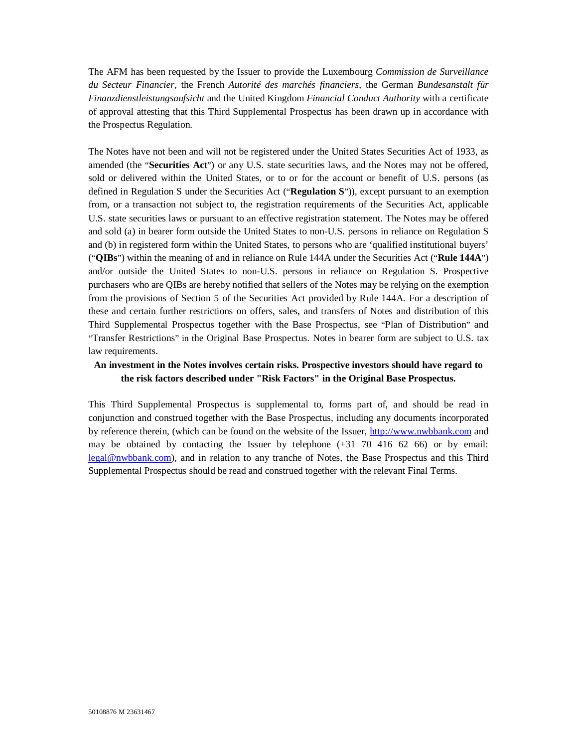The AFM has been requested by the Issuer to provide the Luxembourg *Commission de Surveillance du Secteur Financier*, the French *Autorité des marchés financiers*, the German *Bundesanstalt für Finanzdienstleistungsaufsicht* and the United Kingdom *Financial Conduct Authority* with a certificate of approval attesting that this Third Supplemental Prospectus has been drawn up in accordance with the Prospectus Regulation.

The Notes have not been and will not be registered under the United States Securities Act of 1933, as amended (the "**Securities Act**") or any U.S. state securities laws, and the Notes may not be offered, sold or delivered within the United States, or to or for the account or benefit of U.S. persons (as defined in Regulation S under the Securities Act ("**Regulation S**")), except pursuant to an exemption from, or a transaction not subject to, the registration requirements of the Securities Act, applicable U.S. state securities laws or pursuant to an effective registration statement. The Notes may be offered and sold (a) in bearer form outside the United States to non-U.S. persons in reliance on Regulation S and (b) in registered form within the United States, to persons who are 'qualified institutional buyers' ("**QIBs**") within the meaning of and in reliance on Rule 144A under the Securities Act ("**Rule 144A**") and/or outside the United States to non-U.S. persons in reliance on Regulation S. Prospective purchasers who are QIBs are hereby notified that sellers of the Notes may be relying on the exemption from the provisions of Section 5 of the Securities Act provided by Rule 144A. For a description of these and certain further restrictions on offers, sales, and transfers of Notes and distribution of this Third Supplemental Prospectus together with the Base Prospectus, see "Plan of Distribution" and "Transfer Restrictions" in the Original Base Prospectus. Notes in bearer form are subject to U.S. tax law requirements.

# **An investment in the Notes involves certain risks. Prospective investors should have regard to the risk factors described under "Risk Factors" in the Original Base Prospectus.**

This Third Supplemental Prospectus is supplemental to, forms part of, and should be read in conjunction and construed together with the Base Prospectus, including any documents incorporated by reference therein, (which can be found on the website of the Issuer, http://www.nwbbank.com and may be obtained by contacting the Issuer by telephone (+31 70 416 62 66) or by email: legal@nwbbank.com), and in relation to any tranche of Notes, the Base Prospectus and this Third Supplemental Prospectus should be read and construed together with the relevant Final Terms.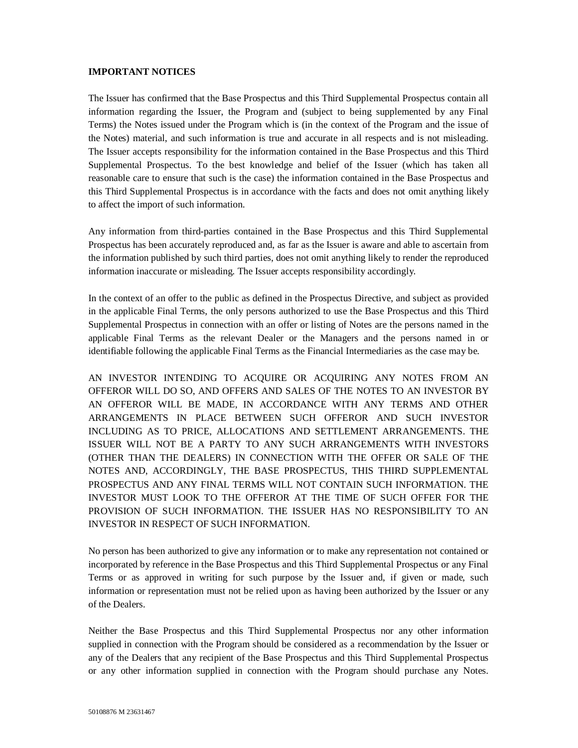#### **IMPORTANT NOTICES**

The Issuer has confirmed that the Base Prospectus and this Third Supplemental Prospectus contain all information regarding the Issuer, the Program and (subject to being supplemented by any Final Terms) the Notes issued under the Program which is (in the context of the Program and the issue of the Notes) material, and such information is true and accurate in all respects and is not misleading. The Issuer accepts responsibility for the information contained in the Base Prospectus and this Third Supplemental Prospectus. To the best knowledge and belief of the Issuer (which has taken all reasonable care to ensure that such is the case) the information contained in the Base Prospectus and this Third Supplemental Prospectus is in accordance with the facts and does not omit anything likely to affect the import of such information.

Any information from third-parties contained in the Base Prospectus and this Third Supplemental Prospectus has been accurately reproduced and, as far as the Issuer is aware and able to ascertain from the information published by such third parties, does not omit anything likely to render the reproduced information inaccurate or misleading. The Issuer accepts responsibility accordingly.

In the context of an offer to the public as defined in the Prospectus Directive, and subject as provided in the applicable Final Terms, the only persons authorized to use the Base Prospectus and this Third Supplemental Prospectus in connection with an offer or listing of Notes are the persons named in the applicable Final Terms as the relevant Dealer or the Managers and the persons named in or identifiable following the applicable Final Terms as the Financial Intermediaries as the case may be.

AN INVESTOR INTENDING TO ACQUIRE OR ACQUIRING ANY NOTES FROM AN OFFEROR WILL DO SO, AND OFFERS AND SALES OF THE NOTES TO AN INVESTOR BY AN OFFEROR WILL BE MADE, IN ACCORDANCE WITH ANY TERMS AND OTHER ARRANGEMENTS IN PLACE BETWEEN SUCH OFFEROR AND SUCH INVESTOR INCLUDING AS TO PRICE, ALLOCATIONS AND SETTLEMENT ARRANGEMENTS. THE ISSUER WILL NOT BE A PARTY TO ANY SUCH ARRANGEMENTS WITH INVESTORS (OTHER THAN THE DEALERS) IN CONNECTION WITH THE OFFER OR SALE OF THE NOTES AND, ACCORDINGLY, THE BASE PROSPECTUS, THIS THIRD SUPPLEMENTAL PROSPECTUS AND ANY FINAL TERMS WILL NOT CONTAIN SUCH INFORMATION. THE INVESTOR MUST LOOK TO THE OFFEROR AT THE TIME OF SUCH OFFER FOR THE PROVISION OF SUCH INFORMATION. THE ISSUER HAS NO RESPONSIBILITY TO AN INVESTOR IN RESPECT OF SUCH INFORMATION.

No person has been authorized to give any information or to make any representation not contained or incorporated by reference in the Base Prospectus and this Third Supplemental Prospectus or any Final Terms or as approved in writing for such purpose by the Issuer and, if given or made, such information or representation must not be relied upon as having been authorized by the Issuer or any of the Dealers.

Neither the Base Prospectus and this Third Supplemental Prospectus nor any other information supplied in connection with the Program should be considered as a recommendation by the Issuer or any of the Dealers that any recipient of the Base Prospectus and this Third Supplemental Prospectus or any other information supplied in connection with the Program should purchase any Notes.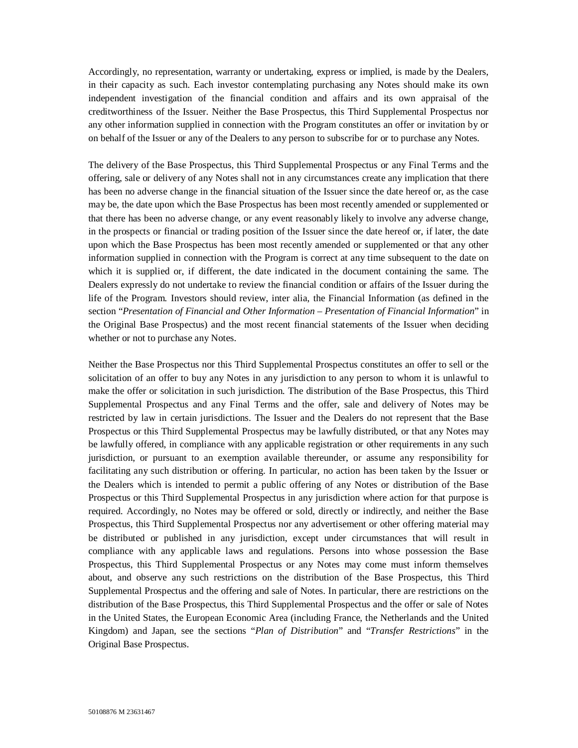Accordingly, no representation, warranty or undertaking, express or implied, is made by the Dealers, in their capacity as such. Each investor contemplating purchasing any Notes should make its own independent investigation of the financial condition and affairs and its own appraisal of the creditworthiness of the Issuer. Neither the Base Prospectus, this Third Supplemental Prospectus nor any other information supplied in connection with the Program constitutes an offer or invitation by or on behalf of the Issuer or any of the Dealers to any person to subscribe for or to purchase any Notes.

The delivery of the Base Prospectus, this Third Supplemental Prospectus or any Final Terms and the offering, sale or delivery of any Notes shall not in any circumstances create any implication that there has been no adverse change in the financial situation of the Issuer since the date hereof or, as the case may be, the date upon which the Base Prospectus has been most recently amended or supplemented or that there has been no adverse change, or any event reasonably likely to involve any adverse change, in the prospects or financial or trading position of the Issuer since the date hereof or, if later, the date upon which the Base Prospectus has been most recently amended or supplemented or that any other information supplied in connection with the Program is correct at any time subsequent to the date on which it is supplied or, if different, the date indicated in the document containing the same. The Dealers expressly do not undertake to review the financial condition or affairs of the Issuer during the life of the Program. Investors should review, inter alia, the Financial Information (as defined in the section "*Presentation of Financial and Other Information – Presentation of Financial Information*" in the Original Base Prospectus) and the most recent financial statements of the Issuer when deciding whether or not to purchase any Notes.

Neither the Base Prospectus nor this Third Supplemental Prospectus constitutes an offer to sell or the solicitation of an offer to buy any Notes in any jurisdiction to any person to whom it is unlawful to make the offer or solicitation in such jurisdiction. The distribution of the Base Prospectus, this Third Supplemental Prospectus and any Final Terms and the offer, sale and delivery of Notes may be restricted by law in certain jurisdictions. The Issuer and the Dealers do not represent that the Base Prospectus or this Third Supplemental Prospectus may be lawfully distributed, or that any Notes may be lawfully offered, in compliance with any applicable registration or other requirements in any such jurisdiction, or pursuant to an exemption available thereunder, or assume any responsibility for facilitating any such distribution or offering. In particular, no action has been taken by the Issuer or the Dealers which is intended to permit a public offering of any Notes or distribution of the Base Prospectus or this Third Supplemental Prospectus in any jurisdiction where action for that purpose is required. Accordingly, no Notes may be offered or sold, directly or indirectly, and neither the Base Prospectus, this Third Supplemental Prospectus nor any advertisement or other offering material may be distributed or published in any jurisdiction, except under circumstances that will result in compliance with any applicable laws and regulations. Persons into whose possession the Base Prospectus, this Third Supplemental Prospectus or any Notes may come must inform themselves about, and observe any such restrictions on the distribution of the Base Prospectus, this Third Supplemental Prospectus and the offering and sale of Notes. In particular, there are restrictions on the distribution of the Base Prospectus, this Third Supplemental Prospectus and the offer or sale of Notes in the United States, the European Economic Area (including France, the Netherlands and the United Kingdom) and Japan, see the sections "*Plan of Distribution*" and "*Transfer Restrictions*" in the Original Base Prospectus.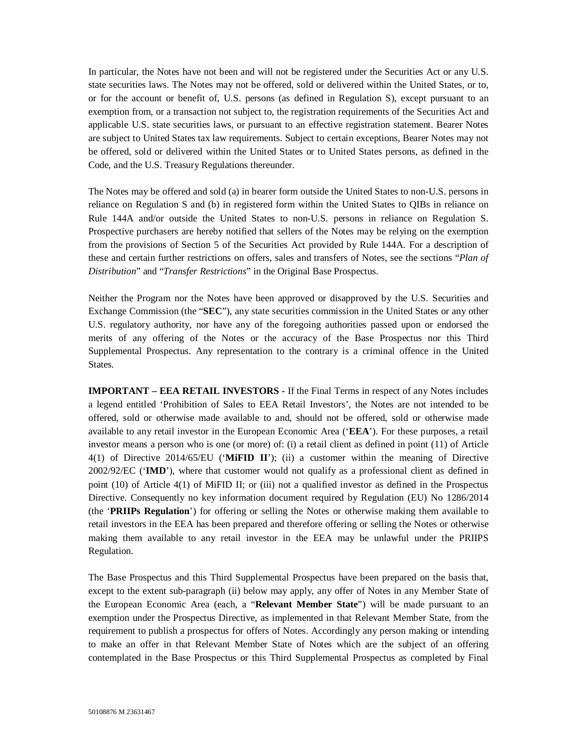In particular, the Notes have not been and will not be registered under the Securities Act or any U.S. state securities laws. The Notes may not be offered, sold or delivered within the United States, or to, or for the account or benefit of, U.S. persons (as defined in Regulation S), except pursuant to an exemption from, or a transaction not subject to, the registration requirements of the Securities Act and applicable U.S. state securities laws, or pursuant to an effective registration statement. Bearer Notes are subject to United States tax law requirements. Subject to certain exceptions, Bearer Notes may not be offered, sold or delivered within the United States or to United States persons, as defined in the Code, and the U.S. Treasury Regulations thereunder.

The Notes may be offered and sold (a) in bearer form outside the United States to non-U.S. persons in reliance on Regulation S and (b) in registered form within the United States to QIBs in reliance on Rule 144A and/or outside the United States to non-U.S. persons in reliance on Regulation S. Prospective purchasers are hereby notified that sellers of the Notes may be relying on the exemption from the provisions of Section 5 of the Securities Act provided by Rule 144A. For a description of these and certain further restrictions on offers, sales and transfers of Notes, see the sections "*Plan of Distribution*" and "*Transfer Restrictions*" in the Original Base Prospectus.

Neither the Program nor the Notes have been approved or disapproved by the U.S. Securities and Exchange Commission (the "**SEC**"), any state securities commission in the United States or any other U.S. regulatory authority, nor have any of the foregoing authorities passed upon or endorsed the merits of any offering of the Notes or the accuracy of the Base Prospectus nor this Third Supplemental Prospectus. Any representation to the contrary is a criminal offence in the United States.

**IMPORTANT – EEA RETAIL INVESTORS -** If the Final Terms in respect of any Notes includes a legend entitled 'Prohibition of Sales to EEA Retail Investors', the Notes are not intended to be offered, sold or otherwise made available to and, should not be offered, sold or otherwise made available to any retail investor in the European Economic Area ('**EEA**'). For these purposes, a retail investor means a person who is one (or more) of: (i) a retail client as defined in point (11) of Article 4(1) of Directive 2014/65/EU ('**MiFID II**'); (ii) a customer within the meaning of Directive 2002/92/EC ('**IMD**'), where that customer would not qualify as a professional client as defined in point (10) of Article 4(1) of MiFID II; or (iii) not a qualified investor as defined in the Prospectus Directive. Consequently no key information document required by Regulation (EU) No 1286/2014 (the '**PRIIPs Regulation**') for offering or selling the Notes or otherwise making them available to retail investors in the EEA has been prepared and therefore offering or selling the Notes or otherwise making them available to any retail investor in the EEA may be unlawful under the PRIIPS Regulation.

The Base Prospectus and this Third Supplemental Prospectus have been prepared on the basis that, except to the extent sub-paragraph (ii) below may apply, any offer of Notes in any Member State of the European Economic Area (each, a "**Relevant Member State**") will be made pursuant to an exemption under the Prospectus Directive, as implemented in that Relevant Member State, from the requirement to publish a prospectus for offers of Notes. Accordingly any person making or intending to make an offer in that Relevant Member State of Notes which are the subject of an offering contemplated in the Base Prospectus or this Third Supplemental Prospectus as completed by Final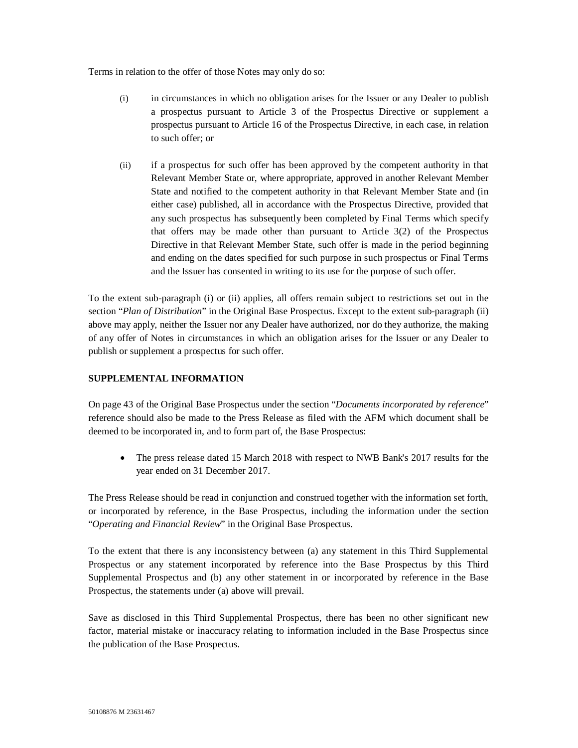Terms in relation to the offer of those Notes may only do so:

- (i) in circumstances in which no obligation arises for the Issuer or any Dealer to publish a prospectus pursuant to Article 3 of the Prospectus Directive or supplement a prospectus pursuant to Article 16 of the Prospectus Directive, in each case, in relation to such offer; or
- (ii) if a prospectus for such offer has been approved by the competent authority in that Relevant Member State or, where appropriate, approved in another Relevant Member State and notified to the competent authority in that Relevant Member State and (in either case) published, all in accordance with the Prospectus Directive, provided that any such prospectus has subsequently been completed by Final Terms which specify that offers may be made other than pursuant to Article 3(2) of the Prospectus Directive in that Relevant Member State, such offer is made in the period beginning and ending on the dates specified for such purpose in such prospectus or Final Terms and the Issuer has consented in writing to its use for the purpose of such offer.

To the extent sub-paragraph (i) or (ii) applies, all offers remain subject to restrictions set out in the section "*Plan of Distribution*" in the Original Base Prospectus. Except to the extent sub-paragraph (ii) above may apply, neither the Issuer nor any Dealer have authorized, nor do they authorize, the making of any offer of Notes in circumstances in which an obligation arises for the Issuer or any Dealer to publish or supplement a prospectus for such offer.

## **SUPPLEMENTAL INFORMATION**

On page 43 of the Original Base Prospectus under the section "*Documents incorporated by reference*" reference should also be made to the Press Release as filed with the AFM which document shall be deemed to be incorporated in, and to form part of, the Base Prospectus:

 The press release dated 15 March 2018 with respect to NWB Bank's 2017 results for the year ended on 31 December 2017.

The Press Release should be read in conjunction and construed together with the information set forth, or incorporated by reference, in the Base Prospectus, including the information under the section "*Operating and Financial Review*" in the Original Base Prospectus.

To the extent that there is any inconsistency between (a) any statement in this Third Supplemental Prospectus or any statement incorporated by reference into the Base Prospectus by this Third Supplemental Prospectus and (b) any other statement in or incorporated by reference in the Base Prospectus, the statements under (a) above will prevail.

Save as disclosed in this Third Supplemental Prospectus, there has been no other significant new factor, material mistake or inaccuracy relating to information included in the Base Prospectus since the publication of the Base Prospectus.